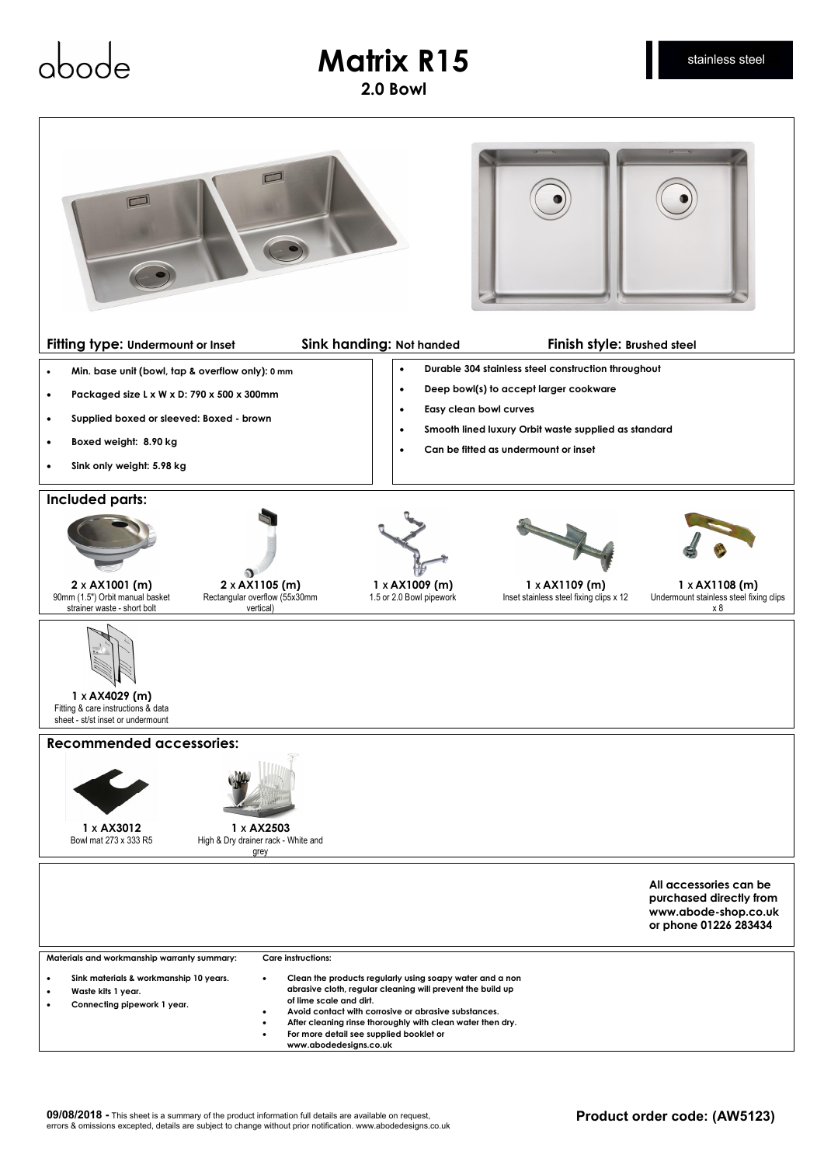## **Matrix R15**

abor

**2.0 Bowl**